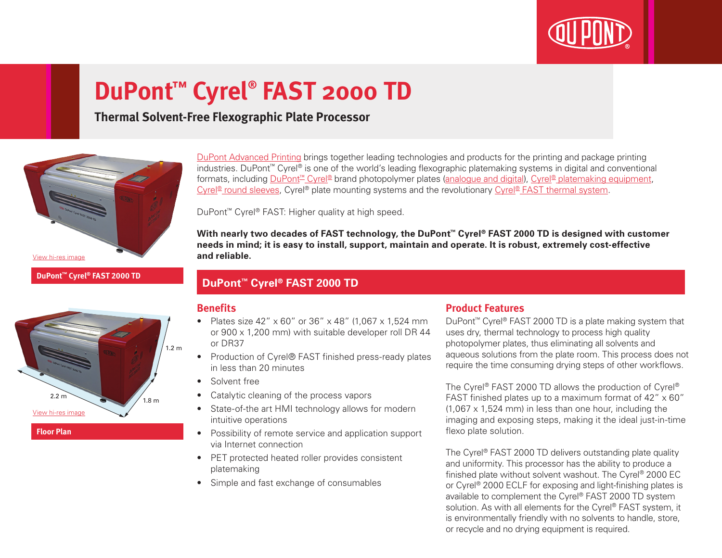

# **DuPont™ Cyrel® FAST 2000 TD**

# **Thermal Solvent-Free Flexographic Plate Processor**



[DuPont Advanced Printing](http://www.dupont.com.au/products-and-services/printing-package-printing.html) brings together leading technologies and products for the printing and package printing industries. DuPont™ Cyrel® is one of the world's leading flexographic platemaking systems in digital and conventional formats, including [DuPont™ Cyrel®](http://www.dupont.com.au/products-and-services/printing-package-printing/flexographic-platemaking-systems/brands/cyrel.html) brand photopolymer plates ([analogue and digital](http://www.dupont.com.au/products-and-services/printing-package-printing/flexographic-platemaking-systems/brands/cyrel/products/cyrel-flexo-plates.html)), [Cyrel® platemaking equipment,](http://www.dupont.com.au/products-and-services/printing-package-printing/flexographic-platemaking-systems/brands/cyrel/products/cyrel-platemaking-equipment.html) [Cyrel® round sleeves](http://www.dupont.com.au/products-and-services/printing-package-printing/flexographic-platemaking-systems/brands/cyrel/products/cyrel-round-systems.html), Cyrel® plate mounting systems and the revolutionary [Cyrel® FAST thermal system.](http://www.dupont.com.au/products-and-services/printing-package-printing/flexographic-platemaking-systems/brands/cyrel/products/cyrel-FAST-thermal-workflow.htm)

DuPont™ Cyrel® FAST: Higher quality at high speed.

**With nearly two decades of FAST technology, the DuPont™ Cyrel® FAST 2000 TD is designed with customer needs in mind; it is easy to install, support, maintain and operate. It is robust, extremely cost-effective and reliable.**

## **DuPont™ Cyrel® FAST 2000 TD**

## **Benefits**

- Plates size 42" x 60" or 36" x 48" (1,067 x 1,524 mm or 900 x 1,200 mm) with suitable developer roll DR 44 or DR37
- Production of Cyrel® FAST finished press-ready plates in less than 20 minutes
	- Solvent free
- Catalytic cleaning of the process vapors
- State-of-the art HMI technology allows for modern intuitive operations
- Possibility of remote service and application support via Internet connection
- PET protected heated roller provides consistent platemaking
- Simple and fast exchange of consumables

## **Product Features**

DuPont™ Cyrel® FAST 2000 TD is a plate making system that uses dry, thermal technology to process high quality photopolymer plates, thus eliminating all solvents and aqueous solutions from the plate room. This process does not require the time consuming drying steps of other workflows.

The Cyrel® FAST 2000 TD allows the production of Cyrel® FAST finished plates up to a maximum format of 42" x 60" (1,067 x 1,524 mm) in less than one hour, including the imaging and exposing steps, making it the ideal just-in-time flexo plate solution.

The Cyrel<sup>®</sup> FAST 2000 TD delivers outstanding plate quality and uniformity. This processor has the ability to produce a finished plate without solvent washout. The Cyrel® 2000 EC or Cyrel® 2000 ECLF for exposing and light-finishing plates is available to complement the Cyrel® FAST 2000 TD system solution. As with all elements for the Cyrel® FAST system, it is environmentally friendly with no solvents to handle, store, or recycle and no drying equipment is required.



**DuPont™ Cyrel® FAST 2000 TD**